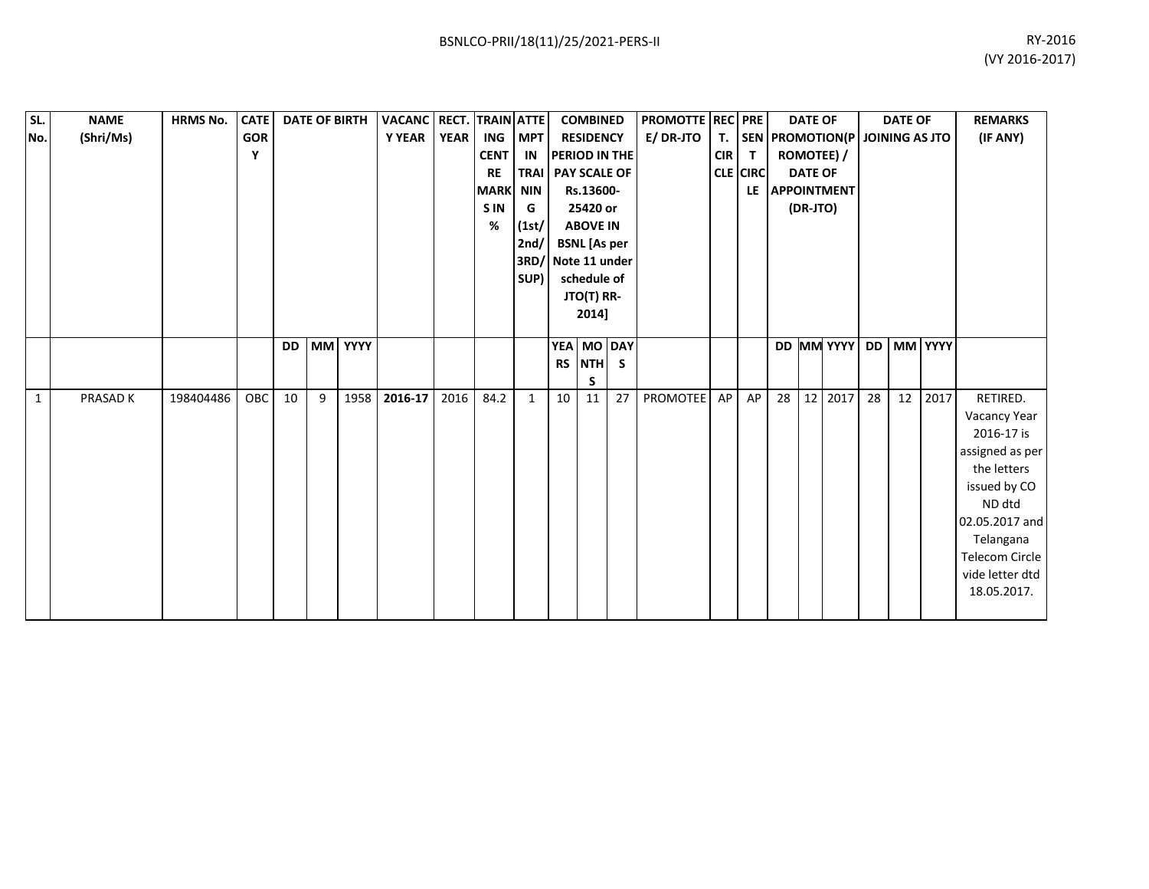| SL. | <b>NAME</b> | <b>HRMS No.</b> | <b>CATE</b> | <b>DATE OF BIRTH</b> |   |         |         |                                            | VACANC RECT. TRAIN ATTE |                                                                 | <b>COMBINED</b>                                                                            |                  | <b>PROMOTTE REC PRE</b> |                  |                                              | <b>DATE OF</b> |    | <b>DATE OF</b> |                                   |    | <b>REMARKS</b> |      |                        |
|-----|-------------|-----------------|-------------|----------------------|---|---------|---------|--------------------------------------------|-------------------------|-----------------------------------------------------------------|--------------------------------------------------------------------------------------------|------------------|-------------------------|------------------|----------------------------------------------|----------------|----|----------------|-----------------------------------|----|----------------|------|------------------------|
| No. | (Shri/Ms)   |                 | <b>GOR</b>  |                      |   |         | Y YEAR  | <b>YEAR</b>                                |                         | ING MPT                                                         |                                                                                            | <b>RESIDENCY</b> |                         | <b>E/ DR-JTO</b> |                                              |                |    |                | T. SEN PROMOTION(P JOINING AS JTO |    |                |      | (IF ANY)               |
|     |             |                 | Y           |                      |   |         |         |                                            | <b>CENT</b>             | <b>PERIOD IN THE</b><br>IN                                      |                                                                                            |                  |                         | <b>CIR</b>       | $\mathsf{T}$                                 | ROMOTEE) /     |    |                |                                   |    |                |      |                        |
|     |             |                 |             |                      |   |         |         | <b>RE</b><br><b>MARK NIN</b><br><b>SIN</b> | G                       | TRAI   PAY SCALE OF<br>Rs.13600-<br>25420 or<br><b>ABOVE IN</b> |                                                                                            |                  |                         | <b>CLE CIRC</b>  | <b>DATE OF</b><br>LE APPOINTMENT<br>(DR-JTO) |                |    |                |                                   |    |                |      |                        |
|     |             |                 |             |                      |   |         |         |                                            |                         |                                                                 |                                                                                            |                  |                         |                  |                                              |                |    |                |                                   |    |                |      |                        |
|     |             |                 |             |                      |   |         |         |                                            |                         |                                                                 |                                                                                            |                  |                         |                  |                                              |                |    |                |                                   |    |                |      |                        |
|     |             |                 |             |                      |   |         |         | %                                          | (1st)                   |                                                                 |                                                                                            |                  |                         |                  |                                              |                |    |                |                                   |    |                |      |                        |
|     |             |                 |             |                      |   |         |         |                                            |                         | 2nd/                                                            | <b>BSNL</b> [As per<br>Note 11 under<br>3RD/<br>schedule of<br>SUP)<br>JTO(T) RR-<br>2014] |                  |                         |                  |                                              |                |    |                |                                   |    |                |      |                        |
|     |             |                 |             |                      |   |         |         |                                            |                         |                                                                 |                                                                                            |                  |                         |                  |                                              |                |    |                |                                   |    |                |      |                        |
|     |             |                 |             |                      |   |         |         |                                            |                         |                                                                 |                                                                                            |                  |                         |                  |                                              |                |    |                |                                   |    |                |      |                        |
|     |             |                 |             |                      |   |         |         |                                            |                         |                                                                 |                                                                                            |                  |                         |                  |                                              |                |    |                |                                   |    |                |      |                        |
|     |             |                 |             |                      |   |         |         |                                            |                         |                                                                 |                                                                                            |                  |                         |                  |                                              |                |    |                |                                   |    |                |      |                        |
|     |             |                 |             | <b>DD</b>            |   | MM YYYY |         |                                            |                         |                                                                 | <b>YEA</b>                                                                                 |                  | MO DAY                  |                  |                                              |                |    |                | DD MM YYYY DD MM YYYY             |    |                |      |                        |
|     |             |                 |             |                      |   |         |         |                                            |                         |                                                                 | <b>RS</b>                                                                                  | <b>NTH</b>       | -S                      |                  |                                              |                |    |                |                                   |    |                |      |                        |
|     |             |                 |             |                      |   |         |         |                                            |                         |                                                                 |                                                                                            | S                |                         |                  |                                              |                |    |                |                                   |    |                |      |                        |
| 1   | PRASAD K    | 198404486       | <b>OBC</b>  | 10                   | 9 | 1958    | 2016-17 | 2016                                       | 84.2                    | $\mathbf{1}$                                                    | 10                                                                                         | 11               | 27                      | <b>PROMOTEE</b>  | AP                                           | AP             | 28 |                | 12 2017                           | 28 | 12             | 2017 | RETIRED.               |
|     |             |                 |             |                      |   |         |         |                                            |                         |                                                                 |                                                                                            |                  |                         |                  |                                              |                |    |                |                                   |    |                |      | Vacancy Year           |
|     |             |                 |             |                      |   |         |         |                                            |                         |                                                                 |                                                                                            |                  |                         |                  |                                              |                |    |                |                                   |    |                |      | 2016-17 is             |
|     |             |                 |             |                      |   |         |         |                                            |                         |                                                                 |                                                                                            |                  |                         |                  |                                              |                |    |                |                                   |    |                |      | assigned as per        |
|     |             |                 |             |                      |   |         |         |                                            |                         |                                                                 |                                                                                            |                  |                         |                  |                                              |                |    |                |                                   |    |                |      | the letters            |
|     |             |                 |             |                      |   |         |         |                                            |                         |                                                                 |                                                                                            |                  |                         |                  |                                              |                |    |                |                                   |    |                |      | issued by CO<br>ND dtd |
|     |             |                 |             |                      |   |         |         |                                            |                         |                                                                 |                                                                                            |                  |                         |                  |                                              |                |    |                |                                   |    |                |      | 02.05.2017 and         |
|     |             |                 |             |                      |   |         |         |                                            |                         |                                                                 |                                                                                            |                  |                         |                  |                                              |                |    |                |                                   |    |                |      | Telangana              |
|     |             |                 |             |                      |   |         |         |                                            |                         |                                                                 |                                                                                            |                  |                         |                  |                                              |                |    |                |                                   |    |                |      | Telecom Circle         |
|     |             |                 |             |                      |   |         |         |                                            |                         |                                                                 |                                                                                            |                  |                         |                  |                                              |                |    |                |                                   |    |                |      | vide letter dtd        |
|     |             |                 |             |                      |   |         |         |                                            |                         |                                                                 |                                                                                            |                  |                         |                  |                                              |                |    |                |                                   |    |                |      | 18.05.2017.            |
|     |             |                 |             |                      |   |         |         |                                            |                         |                                                                 |                                                                                            |                  |                         |                  |                                              |                |    |                |                                   |    |                |      |                        |
|     |             |                 |             |                      |   |         |         |                                            |                         |                                                                 |                                                                                            |                  |                         |                  |                                              |                |    |                |                                   |    |                |      |                        |